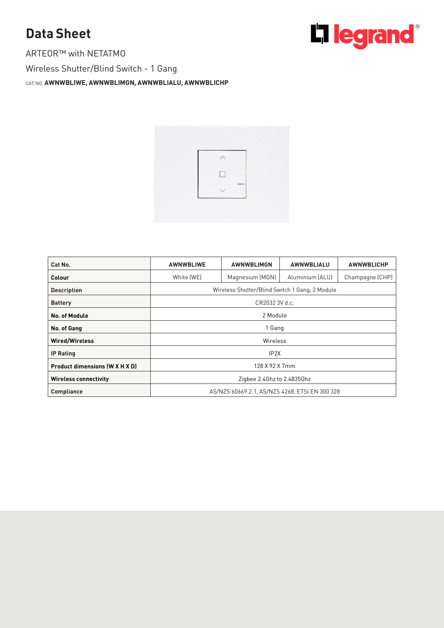## **Data Sheet**<br>ARTEOR™ with NETATMO

Wireless Shutter/Blind Switch - 1 Gang Wireless Shutter-Blind Switch - 1 Gang Switch - 1 Gang Switch - 1 Gang Switch - 1 Gang Switch - 1 Gang Switch



| Cat No.                        | <b>AWNWBLIWE</b>                               | <b>AWNWBLIMGN</b> | <b>AWNWBLIALU</b> | <b>AWNWBLICHP</b> |  |
|--------------------------------|------------------------------------------------|-------------------|-------------------|-------------------|--|
| Colour                         | White (WE)                                     | Magnesium (MGN)   | Aluminium (ALU)   | Champagne (CHP)   |  |
| <b>Description</b>             | Wireless Shutter/Blind Switch 1 Gang, 2 Module |                   |                   |                   |  |
| <b>Battery</b>                 | CR2032 3V d.c.                                 |                   |                   |                   |  |
| No. of Module                  | 2 Module                                       |                   |                   |                   |  |
| No. of Gang                    | 1 Gang                                         |                   |                   |                   |  |
| <b>Wired/Wireless</b>          | Wireless                                       |                   |                   |                   |  |
| <b>IP Rating</b>               | IP <sub>2X</sub>                               |                   |                   |                   |  |
| Product dimensions (W X H X D) | 128 X 92 X 7mm                                 |                   |                   |                   |  |
| <b>Wireless connectivity</b>   | Zigbee 2.4Ghz to 2.4835Ghz                     |                   |                   |                   |  |
| <b>Compliance</b>              | AS/NZS 60669.2.1. AS/NZS 4268. ETSI EN 300 328 |                   |                   |                   |  |